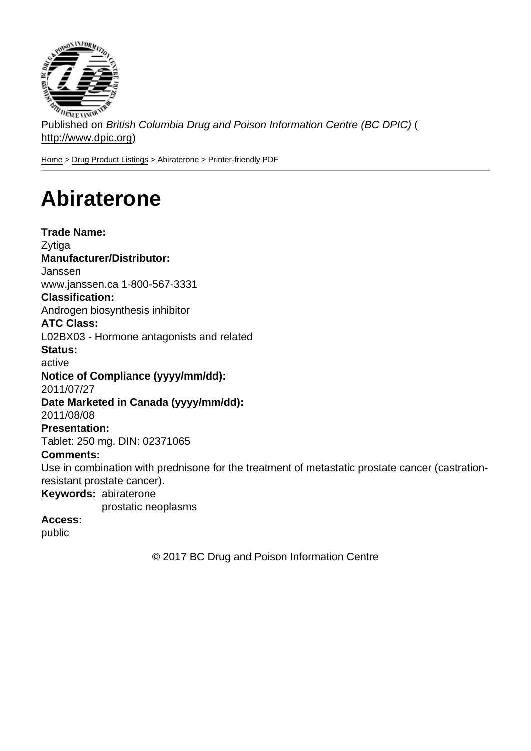Published on British Columbia Drug and Poison Information Centre (BC DPIC) ( http://www.dpic.org)

Home > Drug Product Listings > Abiraterone > Printer-friendly PDF

## [Ab](http://www.dpic.org/)[iraterone](http://www.dpic.org/druglistings)

Trade Name: Zytiga Manufacturer/Distributor: Janssen www.janssen.ca 1-800-567-3331 Classification: Androgen biosynthesis inhibitor ATC Class: L02BX03 - Hormone antagonists and related Status: active Notice of Compliance (yyyy/mm/dd): 2011/07/27 Date Marketed in Canada (yyyy/mm/dd): 2011/08/08 Presentation: Tablet: 250 mg. DIN: 02371065 Comments: Use in combination with prednisone for the treatment of metastatic prostate cancer (castrationresistant prostate cancer). Keywords: abiraterone prostatic neoplasms Access: public

© 2017 BC Drug and Poison Information Centre